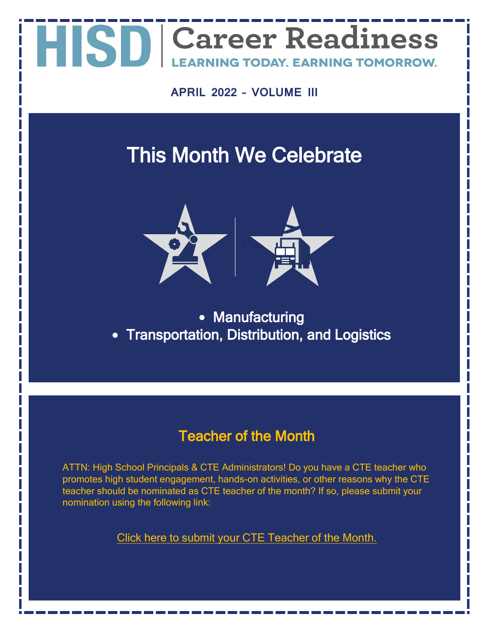**APRIL 2022 – VOLUME III**

### This Month We Celebrate



• Manufacturing • Transportation, Distribution, and Logistics

### Teacher of the Month

ATTN: High School Principals & CTE Administrators! Do you have a CTE teacher who promotes high student engagement, hands-on activities, or other reasons why the CTE teacher should be nominated as CTE teacher of the month? If so, please submit your nomination using the following link:

[Click here to submit your CTE Teacher of the Month.](https://forms.office.com/r/Jy6z80XCCW)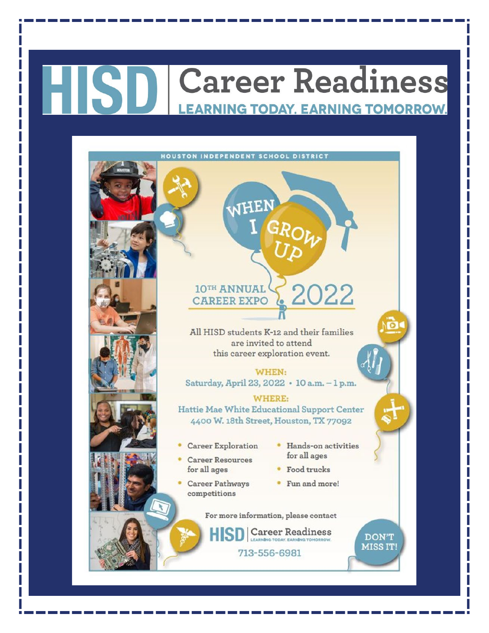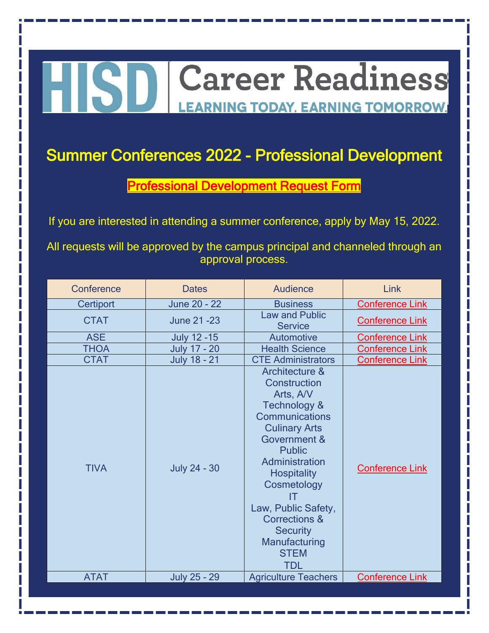## HISD Career Readiness **LEARNING TODAY. EARNING TOMORROW.**

### Summer Conferences 2022 - Professional Development

[Professional Development Request Form](https://forms.office.com/r/P735hNAYv3)

If you are interested in attending a summer conference, apply by May 15, 2022.

All requests will be approved by the campus principal and channeled through an approval process.

| Conference  | <b>Dates</b>        | Audience                                                                                                                                                                                                                                                                                                                           | Link                   |
|-------------|---------------------|------------------------------------------------------------------------------------------------------------------------------------------------------------------------------------------------------------------------------------------------------------------------------------------------------------------------------------|------------------------|
| Certiport   | June 20 - 22        | <b>Business</b>                                                                                                                                                                                                                                                                                                                    | <b>Conference Link</b> |
| <b>CTAT</b> | June 21-23          | <b>Law and Public</b><br><b>Service</b>                                                                                                                                                                                                                                                                                            | <b>Conference Link</b> |
| <b>ASE</b>  | <b>July 12 -15</b>  | Automotive                                                                                                                                                                                                                                                                                                                         | <b>Conference Link</b> |
| <b>THOA</b> | <b>July 17 - 20</b> | <b>Health Science</b>                                                                                                                                                                                                                                                                                                              | <b>Conference Link</b> |
| <b>CTAT</b> | <b>July 18 - 21</b> | <b>CTE Administrators</b>                                                                                                                                                                                                                                                                                                          | <b>Conference Link</b> |
| <b>TIVA</b> | <b>July 24 - 30</b> | Architecture &<br>Construction<br>Arts, A/V<br><b>Technology &amp;</b><br>Communications<br><b>Culinary Arts</b><br>Government &<br><b>Public</b><br>Administration<br><b>Hospitality</b><br>Cosmetology<br>IT<br>Law, Public Safety,<br><b>Corrections &amp;</b><br><b>Security</b><br>Manufacturing<br><b>STEM</b><br><b>TDL</b> | <b>Conference Link</b> |
| <b>ATAT</b> | <b>July 25 - 29</b> | <b>Agriculture Teachers</b>                                                                                                                                                                                                                                                                                                        | <b>Conference Link</b> |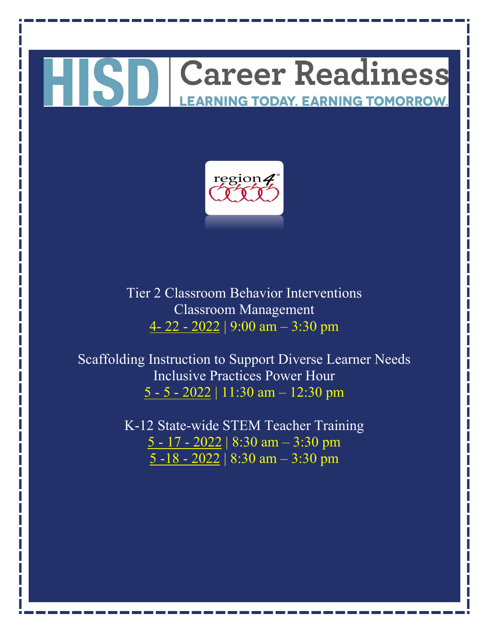### HISD Career Readiness **EARNING TODAY. EARNING TOMORROW.**



Tier 2 Classroom Behavior Interventions Classroom Management 4- 22 - [2022](https://www.escweb.net/tx_esc_04/catalog/session.aspx?session_id=1645351) | 9:00 am – 3:30 pm

Scaffolding Instruction to Support Diverse Learner Needs Inclusive Practices Power Hour 5 - 5 - [2022](https://www.escweb.net/tx_esc_04/catalog/session.aspx?session_id=1671293) | 11:30 am – 12:30 pm

> K-12 State-wide STEM Teacher Training 5 - 17 - [2022](https://www.escweb.net/tx_esc_04/catalog/session.aspx?session_id=1639966) | 8:30 am – 3:30 pm [5 -18 -](https://www.escweb.net/tx_esc_04/catalog/session.aspx?session_id=1639966) 2022 | 8:30 am – 3:30 pm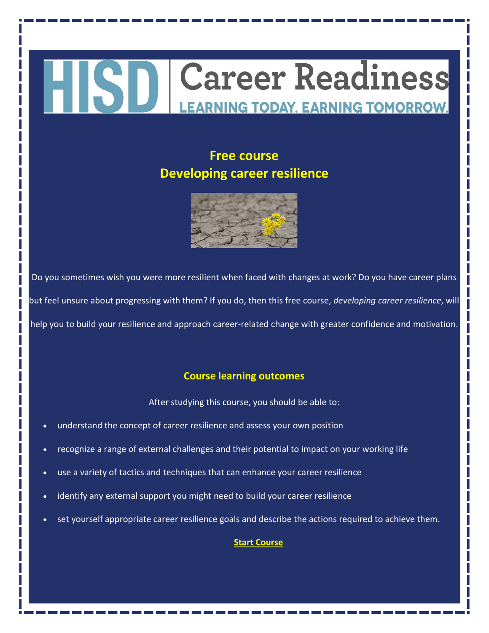### **Career Readiness HISD LEARNING TODAY. EARNING TOMORROW.**

#### **Free course Developing career resilience**



Do you sometimes wish you were more resilient when faced with changes at work? Do you have career plans but feel unsure about progressing with them? If you do, then this free course, *developing career resilience*, will help you to build your resilience and approach career-related change with greater confidence and motivation.

#### **Course learning outcomes**

After studying this course, you should be able to:

- understand the concept of career resilience and assess your own position
- recognize a range of external challenges and their potential to impact on your working life
- use a variety of tactics and techniques that can enhance your career resilience
- identify any external support you might need to build your career resilience
- set yourself appropriate career resilience goals and describe the actions required to achieve them.

#### **[Start Course](https://www.open.edu/openlearn/money-business/developing-career-resilience/content-section-overview?active-tab=description-tab)**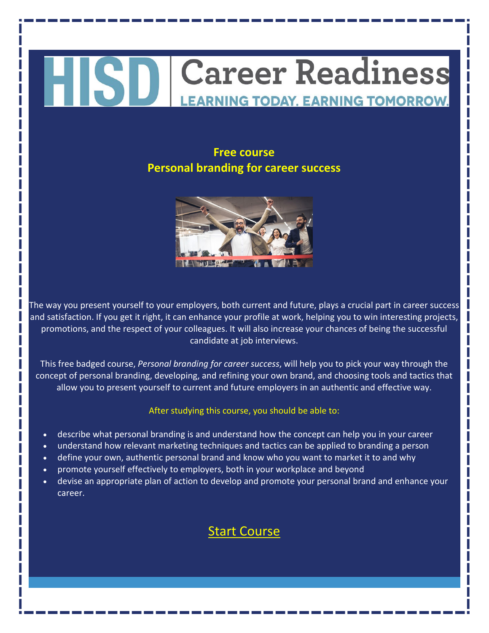#### **Free course Personal branding for career success**



The way you present yourself to your employers, both current and future, plays a crucial part in career success and satisfaction. If you get it right, it can enhance your profile at work, helping you to win interesting projects, promotions, and the respect of your colleagues. It will also increase your chances of being the successful candidate at job interviews.

This free badged course, *Personal branding for career success*, will help you to pick your way through the concept of personal branding, developing, and refining your own brand, and choosing tools and tactics that allow you to present yourself to current and future employers in an authentic and effective way.

#### After studying this course, you should be able to:

- describe what personal branding is and understand how the concept can help you in your career
- understand how relevant marketing techniques and tactics can be applied to branding a person
- define your own, authentic personal brand and know who you want to market it to and why
- promote yourself effectively to employers, both in your workplace and beyond
- devise an appropriate plan of action to develop and promote your personal brand and enhance your career.

### [Start Course](https://www.open.edu/openlearn/money-business/personal-branding-career-success/content-section-overview?active-tab=description-tab)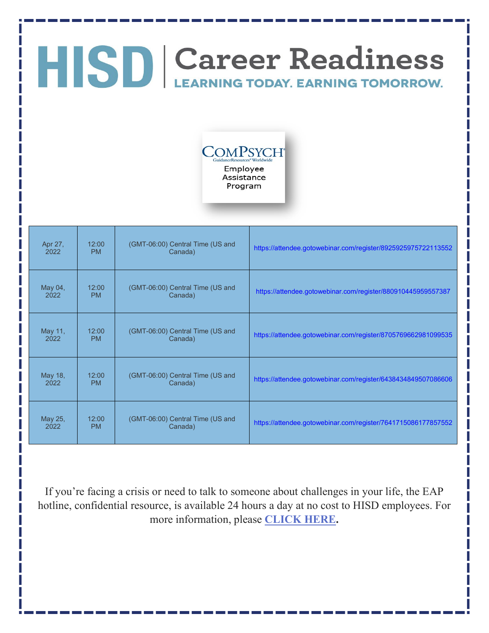

Program

Apr 27, 2022 12:00 PM (GMT-06:00) Central Time (US and <https://attendee.gotowebinar.com/register/8925925975722113552> May 04, 2022 12:00 PM (GMT-06:00) Central Time (US and <https://attendee.gotowebinar.com/register/880910445959557387> May 11, 2022 12:00 PM (GMT-06:00) Central Time (US and <https://attendee.gotowebinar.com/register/8705769662981099535> May 18, 2022 12:00 PM (GMT-06:00) Central Time (US and Canada) <https://attendee.gotowebinar.com/register/6438434849507086606> May 25, 2022 12:00 PM (GMT-06:00) Central Time (US and <https://attendee.gotowebinar.com/register/7641715086177857552>

If you're facing a crisis or need to talk to someone about challenges in your life, the EAP hotline, confidential resource, is available 24 hours a day at no cost to HISD employees. For more information, please **[CLICK HERE.](https://www.houstonisd.org/domain/50555)**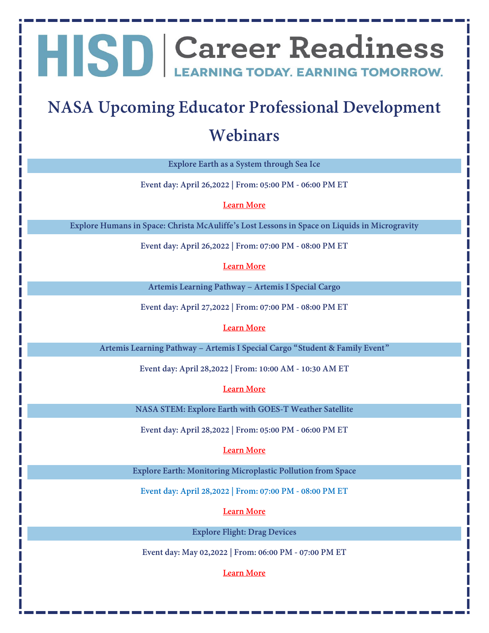### **NASA Upcoming Educator Professional Development Webinars**

**Explore Earth as a System through Sea Ice**

**Event day: April 26,2022 | From: 05:00 PM - 06:00 PM ET**

**[Learn More](https://www.txstate-epdc.net/event-post/explore-earth-as-a-system-through-sea-ice/)**

**Explore Humans in Space: Christa McAuliffe's Lost Lessons in Space on Liquids in Microgravity**

**Event day: April 26,2022 | From: 07:00 PM - 08:00 PM ET**

**[Learn More](https://www.txstate-epdc.net/event-post/explore-humans-in-space-christa-mcauliffes-lost-lessons-in-space-on-liquids-in-microgravity/)**

**Artemis Learning Pathway – Artemis I Special Cargo**

**Event day: April 27,2022 | From: 07:00 PM - 08:00 PM ET**

#### **[Learn More](https://www.txstate-epdc.net/event-post/artemis-learning-pathway-artemis-i-special-cargo/)**

**Artemis Learning Pathway – Artemis I Special Cargo "Student & Family Event"**

**Event day: April 28,2022 | From: 10:00 AM - 10:30 AM ET**

**[Learn More](https://www.txstate-epdc.net/event-post/artemis-learning-pathway-artemis-i-special-cargo-student-family-event/)**

**NASA STEM: Explore Earth with GOES-T Weather Satellite**

**Event day: April 28,2022 | From: 05:00 PM - 06:00 PM ET**

**[Learn More](https://www.txstate-epdc.net/event-post/nasa-stem-explore-earth-with-goes-t-weather-satellite/)**

**Explore Earth: Monitoring Microplastic Pollution from Space**

**Event day: April 28,2022 | From: 07:00 PM - 08:00 PM ET**

**[Learn More](https://www.txstate-epdc.net/event-post/explore-earth-monitoring-microplastic-pollution-from-space/)**

**Explore Flight: Drag Devices**

**Event day: May 02,2022 | From: 06:00 PM - 07:00 PM ET**

**[Learn More](https://www.txstate-epdc.net/event-post/explore-flight-drag-devices/)**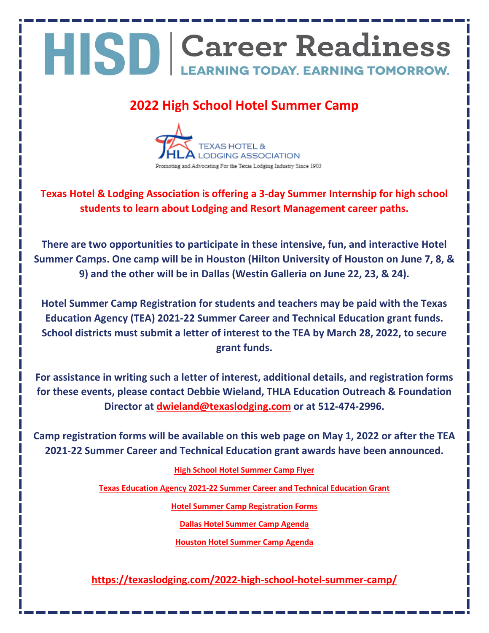#### **2022 High School Hotel Summer Camp**



**Texas Hotel & Lodging Association is offering a 3-day Summer Internship for high school students to learn about Lodging and Resort Management career paths.**

**There are two opportunities to participate in these intensive, fun, and interactive Hotel Summer Camps. One camp will be in Houston (Hilton University of Houston on June 7, 8, & 9) and the other will be in Dallas (Westin Galleria on June 22, 23, & 24).**

**Hotel Summer Camp Registration for students and teachers may be paid with the Texas Education Agency (TEA) 2021-22 Summer Career and Technical Education grant funds. School districts must submit a letter of interest to the TEA by March 28, 2022, to secure grant funds.**

**For assistance in writing such a letter of interest, additional details, and registration forms for these events, please contact Debbie Wieland, THLA Education Outreach & Foundation Director at [dwieland@texaslodging.com](mailto:dwieland@texaslodging.com) or at 512-474-2996.**

**Camp registration forms will be available on this web page on May 1, 2022 or after the TEA 2021-22 Summer Career and Technical Education grant awards have been announced.**

#### **[High School Hotel Summer Camp Flyer](https://drive.google.com/file/d/1scP_V2Hs80M__qpDa2fxnr77KYH0FFMx/view?usp=sharing)**

**[Texas Education Agency 2021-22 Summer Career and Technical Education Grant](https://tea4avalonzo.tea.state.tx.us/GrantOpportunities/forms/GrantProgramSearch.aspx)**

**[Hotel Summer Camp Registration Forms](https://drive.google.com/file/d/1mVv8nC7bvHdMNkHjVeSgIgjpc78OJtP9/view?usp=sharing)**

**[Dallas Hotel Summer Camp Agenda](https://drive.google.com/file/d/1xmIeD8wg87cOestz8U_tPFLsZ9qfAkrP/view)**

**[Houston Hotel Summer Camp Agenda](https://drive.google.com/file/d/1ES2rR-Y9ksMz2Zf8bLTb5btqyEDJPrs_/view?usp=sharing)**

**<https://texaslodging.com/2022-high-school-hotel-summer-camp/>**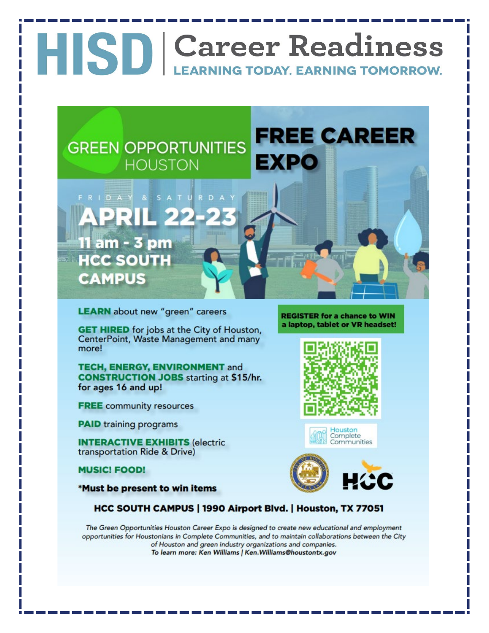

**LEARN** about new "green" careers

**GET HIRED** for jobs at the City of Houston, CenterPoint, Waste Management and many more!

**TECH, ENERGY, ENVIRONMENT and CONSTRUCTION JOBS starting at \$15/hr.** for ages 16 and up!

**FREE** community resources

**PAID** training programs

**INTERACTIVE EXHIBITS (electric)** transportation Ride & Drive)

**MUSIC! FOOD!** 

\*Must be present to win items

**REGISTER for a chance to WIN** a laptop, tablet or VR headset!







#### HCC SOUTH CAMPUS | 1990 Airport Blvd. | Houston, TX 77051

The Green Opportunities Houston Career Expo is designed to create new educational and employment opportunities for Houstonians in Complete Communities, and to maintain collaborations between the City of Houston and green industry organizations and companies. To learn more: Ken Williams | Ken.Williams@houstontx.gov